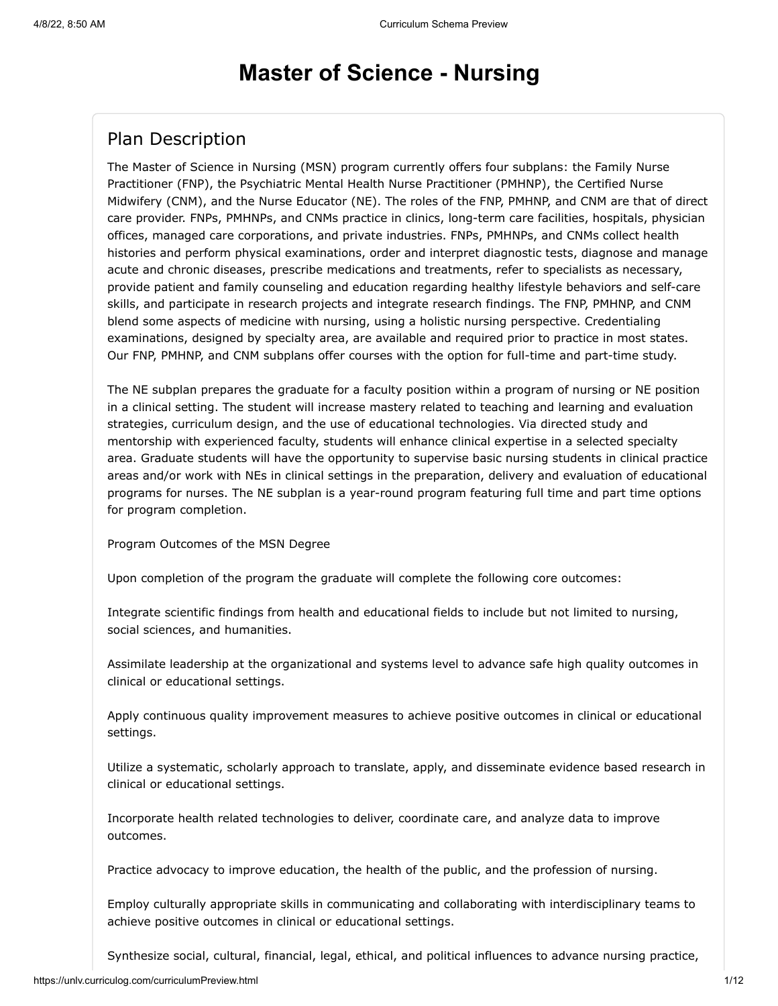## **Master of Science - Nursing**

### Plan Description

The Master of Science in Nursing (MSN) program currently offers four subplans: the Family Nurse Practitioner (FNP), the Psychiatric Mental Health Nurse Practitioner (PMHNP), the Certified Nurse Midwifery (CNM), and the Nurse Educator (NE). The roles of the FNP, PMHNP, and CNM are that of direct care provider. FNPs, PMHNPs, and CNMs practice in clinics, long-term care facilities, hospitals, physician offices, managed care corporations, and private industries. FNPs, PMHNPs, and CNMs collect health histories and perform physical examinations, order and interpret diagnostic tests, diagnose and manage acute and chronic diseases, prescribe medications and treatments, refer to specialists as necessary, provide patient and family counseling and education regarding healthy lifestyle behaviors and self-care skills, and participate in research projects and integrate research findings. The FNP, PMHNP, and CNM blend some aspects of medicine with nursing, using a holistic nursing perspective. Credentialing examinations, designed by specialty area, are available and required prior to practice in most states. Our FNP, PMHNP, and CNM subplans offer courses with the option for full-time and part-time study.

The NE subplan prepares the graduate for a faculty position within a program of nursing or NE position in a clinical setting. The student will increase mastery related to teaching and learning and evaluation strategies, curriculum design, and the use of educational technologies. Via directed study and mentorship with experienced faculty, students will enhance clinical expertise in a selected specialty area. Graduate students will have the opportunity to supervise basic nursing students in clinical practice areas and/or work with NEs in clinical settings in the preparation, delivery and evaluation of educational programs for nurses. The NE subplan is a year-round program featuring full time and part time options for program completion.

Program Outcomes of the MSN Degree

Upon completion of the program the graduate will complete the following core outcomes:

Integrate scientific findings from health and educational fields to include but not limited to nursing, social sciences, and humanities.

Assimilate leadership at the organizational and systems level to advance safe high quality outcomes in clinical or educational settings.

Apply continuous quality improvement measures to achieve positive outcomes in clinical or educational settings.

Utilize a systematic, scholarly approach to translate, apply, and disseminate evidence based research in clinical or educational settings.

Incorporate health related technologies to deliver, coordinate care, and analyze data to improve outcomes.

Practice advocacy to improve education, the health of the public, and the profession of nursing.

Employ culturally appropriate skills in communicating and collaborating with interdisciplinary teams to achieve positive outcomes in clinical or educational settings.

Synthesize social, cultural, financial, legal, ethical, and political influences to advance nursing practice,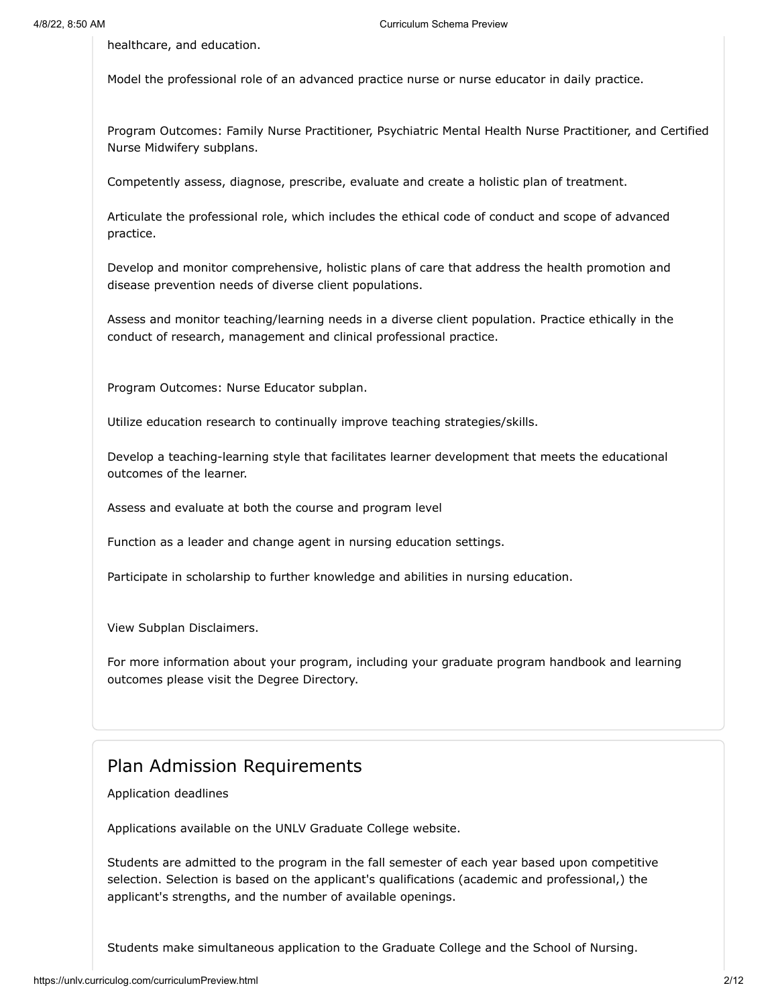healthcare, and education.

Model the professional role of an advanced practice nurse or nurse educator in daily practice.

Program Outcomes: Family Nurse Practitioner, Psychiatric Mental Health Nurse Practitioner, and Certified Nurse Midwifery subplans.

Competently assess, diagnose, prescribe, evaluate and create a holistic plan of treatment.

Articulate the professional role, which includes the ethical code of conduct and scope of advanced practice.

Develop and monitor comprehensive, holistic plans of care that address the health promotion and disease prevention needs of diverse client populations.

Assess and monitor teaching/learning needs in a diverse client population. Practice ethically in the conduct of research, management and clinical professional practice.

Program Outcomes: Nurse Educator subplan.

Utilize education research to continually improve teaching strategies/skills.

Develop a teaching-learning style that facilitates learner development that meets the educational outcomes of the learner.

Assess and evaluate at both the course and program level

Function as a leader and change agent in nursing education settings.

Participate in scholarship to further knowledge and abilities in nursing education.

View Subplan Disclaimers.

For more information about your program, including your graduate program handbook and learning outcomes please visit the Degree Directory.

#### Plan Admission Requirements

#### Application deadlines

Applications available on the UNLV Graduate College website.

Students are admitted to the program in the fall semester of each year based upon competitive selection. Selection is based on the applicant's qualifications (academic and professional,) the applicant's strengths, and the number of available openings.

Students make simultaneous application to the Graduate College and the School of Nursing.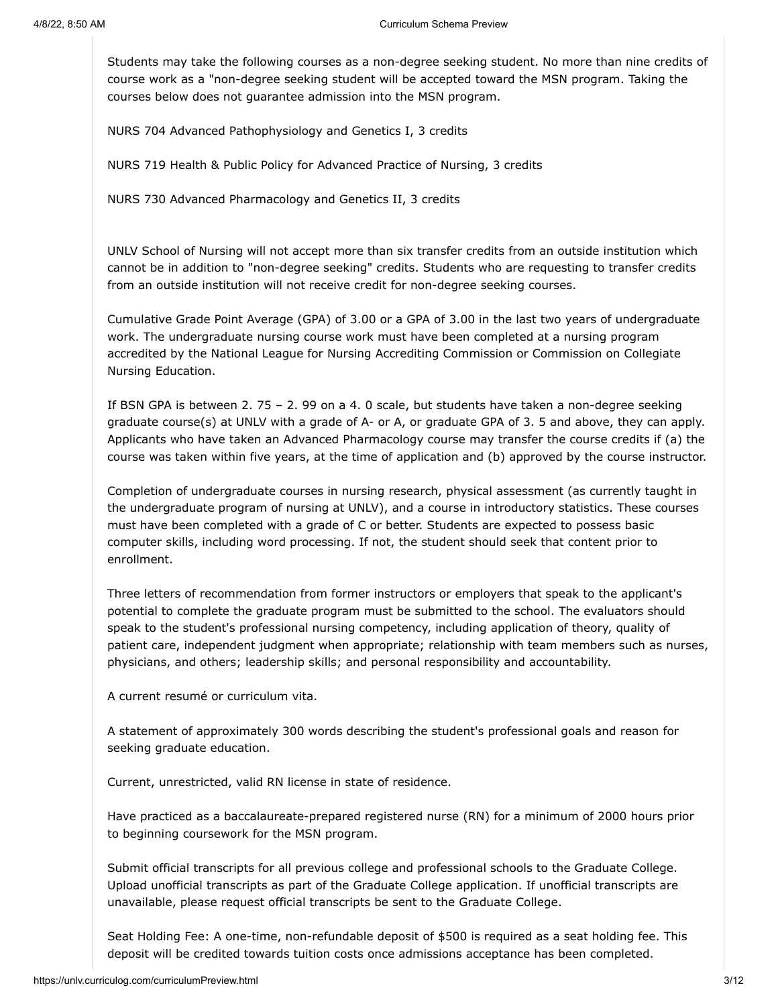Students may take the following courses as a non-degree seeking student. No more than nine credits of course work as a "non-degree seeking student will be accepted toward the MSN program. Taking the courses below does not guarantee admission into the MSN program.

NURS 704 Advanced Pathophysiology and Genetics I, 3 credits

NURS 719 Health & Public Policy for Advanced Practice of Nursing, 3 credits

NURS 730 Advanced Pharmacology and Genetics II, 3 credits

UNLV School of Nursing will not accept more than six transfer credits from an outside institution which cannot be in addition to "non-degree seeking" credits. Students who are requesting to transfer credits from an outside institution will not receive credit for non-degree seeking courses.

Cumulative Grade Point Average (GPA) of 3.00 or a GPA of 3.00 in the last two years of undergraduate work. The undergraduate nursing course work must have been completed at a nursing program accredited by the National League for Nursing Accrediting Commission or Commission on Collegiate Nursing Education.

If BSN GPA is between 2. 75 – 2. 99 on a 4. 0 scale, but students have taken a non-degree seeking graduate course(s) at UNLV with a grade of A- or A, or graduate GPA of 3. 5 and above, they can apply. Applicants who have taken an Advanced Pharmacology course may transfer the course credits if (a) the course was taken within five years, at the time of application and (b) approved by the course instructor.

Completion of undergraduate courses in nursing research, physical assessment (as currently taught in the undergraduate program of nursing at UNLV), and a course in introductory statistics. These courses must have been completed with a grade of C or better. Students are expected to possess basic computer skills, including word processing. If not, the student should seek that content prior to enrollment.

Three letters of recommendation from former instructors or employers that speak to the applicant's potential to complete the graduate program must be submitted to the school. The evaluators should speak to the student's professional nursing competency, including application of theory, quality of patient care, independent judgment when appropriate; relationship with team members such as nurses, physicians, and others; leadership skills; and personal responsibility and accountability.

A current resumé or curriculum vita.

A statement of approximately 300 words describing the student's professional goals and reason for seeking graduate education.

Current, unrestricted, valid RN license in state of residence.

Have practiced as a baccalaureate-prepared registered nurse (RN) for a minimum of 2000 hours prior to beginning coursework for the MSN program.

Submit official transcripts for all previous college and professional schools to the Graduate College. Upload unofficial transcripts as part of the Graduate College application. If unofficial transcripts are unavailable, please request official transcripts be sent to the Graduate College.

Seat Holding Fee: A one-time, non-refundable deposit of \$500 is required as a seat holding fee. This deposit will be credited towards tuition costs once admissions acceptance has been completed.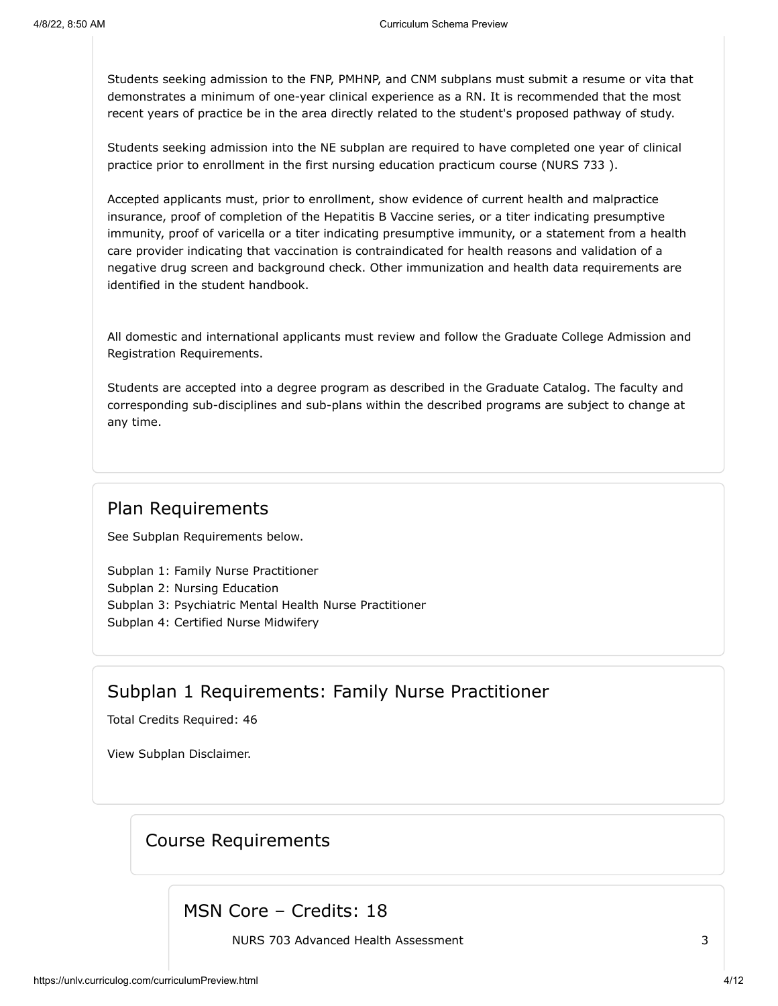Students seeking admission to the FNP, PMHNP, and CNM subplans must submit a resume or vita that demonstrates a minimum of one-year clinical experience as a RN. It is recommended that the most recent years of practice be in the area directly related to the student's proposed pathway of study.

Students seeking admission into the NE subplan are required to have completed one year of clinical practice prior to enrollment in the first nursing education practicum course (NURS 733 ).

Accepted applicants must, prior to enrollment, show evidence of current health and malpractice insurance, proof of completion of the Hepatitis B Vaccine series, or a titer indicating presumptive immunity, proof of varicella or a titer indicating presumptive immunity, or a statement from a health care provider indicating that vaccination is contraindicated for health reasons and validation of a negative drug screen and background check. Other immunization and health data requirements are identified in the student handbook.

All domestic and international applicants must review and follow the Graduate College Admission and Registration Requirements.

Students are accepted into a degree program as described in the Graduate Catalog. The faculty and corresponding sub-disciplines and sub-plans within the described programs are subject to change at any time.

#### Plan Requirements

See Subplan Requirements below.

Subplan 1: Family Nurse Practitioner Subplan 2: Nursing Education Subplan 3: Psychiatric Mental Health Nurse Practitioner Subplan 4: Certified Nurse Midwifery

### Subplan 1 Requirements: Family Nurse Practitioner

Total Credits Required: 46

View Subplan Disclaimer.

### Course Requirements

MSN Core – Credits: 18

NURS 703 Advanced Health Assessment 3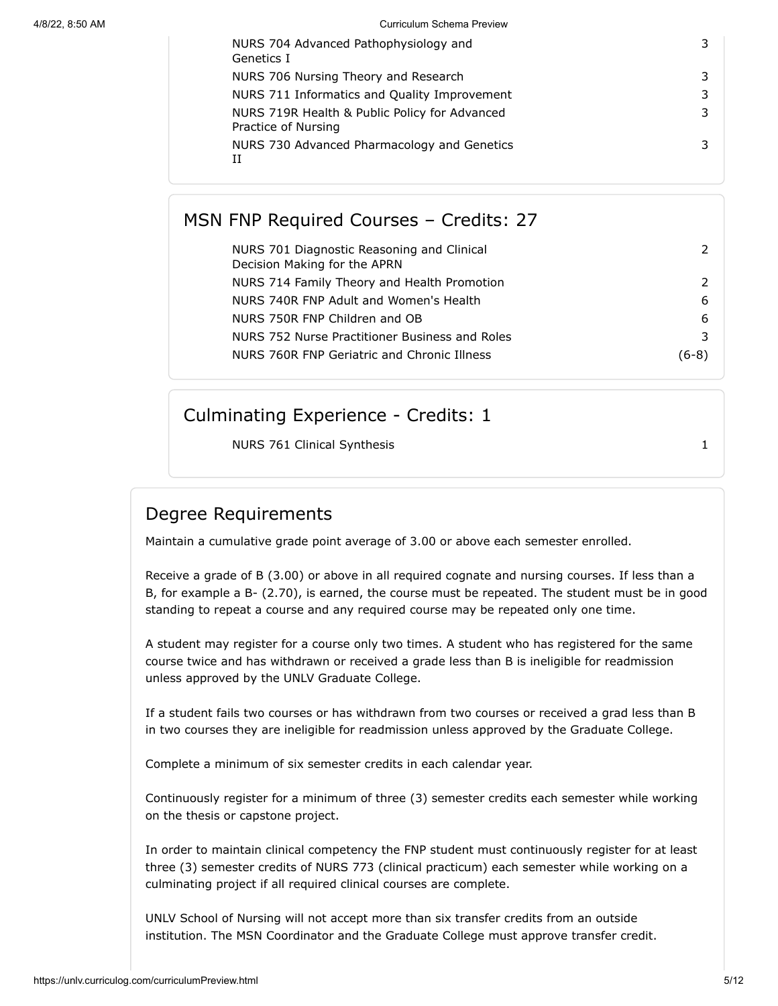4/8/22, 8:50 AM Curriculum Schema Preview

| NURS 704 Advanced Pathophysiology and<br>Genetics I                  |   |
|----------------------------------------------------------------------|---|
| NURS 706 Nursing Theory and Research                                 |   |
| NURS 711 Informatics and Quality Improvement                         |   |
| NURS 719R Health & Public Policy for Advanced<br>Practice of Nursing | 3 |
| NURS 730 Advanced Pharmacology and Genetics                          |   |
|                                                                      |   |

### MSN FNP Required Courses – Credits: 27

| NURS 701 Diagnostic Reasoning and Clinical<br>Decision Making for the APRN |      |
|----------------------------------------------------------------------------|------|
| NURS 714 Family Theory and Health Promotion                                |      |
| NURS 740R FNP Adult and Women's Health                                     | 6    |
| NURS 750R FNP Children and OB                                              | 6    |
| NURS 752 Nurse Practitioner Business and Roles                             |      |
| NURS 760R FNP Geriatric and Chronic Illness                                | (6-8 |

#### Culminating Experience - Credits: 1

NURS 761 Clinical Synthesis 1

### Degree Requirements

Maintain a cumulative grade point average of 3.00 or above each semester enrolled.

Receive a grade of B (3.00) or above in all required cognate and nursing courses. If less than a B, for example a B- (2.70), is earned, the course must be repeated. The student must be in good standing to repeat a course and any required course may be repeated only one time.

A student may register for a course only two times. A student who has registered for the same course twice and has withdrawn or received a grade less than B is ineligible for readmission unless approved by the UNLV Graduate College.

If a student fails two courses or has withdrawn from two courses or received a grad less than B in two courses they are ineligible for readmission unless approved by the Graduate College.

Complete a minimum of six semester credits in each calendar year.

Continuously register for a minimum of three (3) semester credits each semester while working on the thesis or capstone project.

In order to maintain clinical competency the FNP student must continuously register for at least three (3) semester credits of NURS 773 (clinical practicum) each semester while working on a culminating project if all required clinical courses are complete.

UNLV School of Nursing will not accept more than six transfer credits from an outside institution. The MSN Coordinator and the Graduate College must approve transfer credit.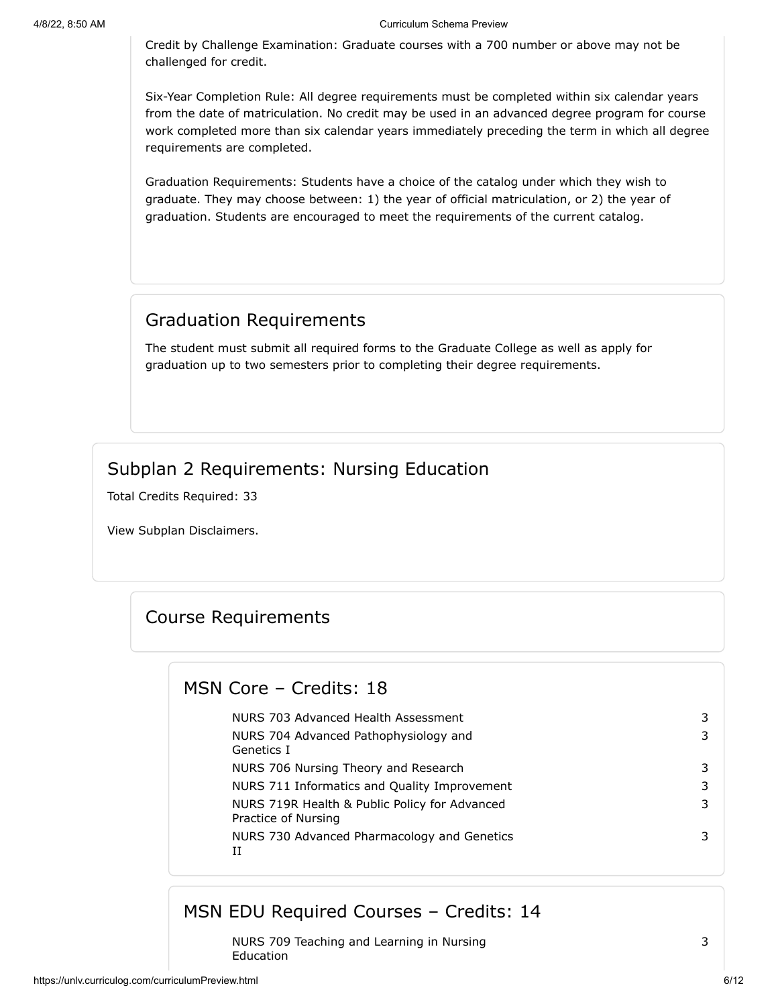Credit by Challenge Examination: Graduate courses with a 700 number or above may not be challenged for credit.

Six-Year Completion Rule: All degree requirements must be completed within six calendar years from the date of matriculation. No credit may be used in an advanced degree program for course work completed more than six calendar years immediately preceding the term in which all degree requirements are completed.

Graduation Requirements: Students have a choice of the catalog under which they wish to graduate. They may choose between: 1) the year of official matriculation, or 2) the year of graduation. Students are encouraged to meet the requirements of the current catalog.

### Graduation Requirements

The student must submit all required forms to the Graduate College as well as apply for graduation up to two semesters prior to completing their degree requirements.

### Subplan 2 Requirements: Nursing Education

Total Credits Required: 33

View Subplan Disclaimers.

#### Course Requirements

### MSN Core – Credits: 18

| NURS 703 Advanced Health Assessment                                  | 3 |
|----------------------------------------------------------------------|---|
| NURS 704 Advanced Pathophysiology and<br>Genetics I                  | 3 |
| NURS 706 Nursing Theory and Research                                 | 3 |
| NURS 711 Informatics and Quality Improvement                         | 3 |
| NURS 719R Health & Public Policy for Advanced<br>Practice of Nursing | 3 |
| NURS 730 Advanced Pharmacology and Genetics<br>П                     | 3 |
|                                                                      |   |

#### MSN EDU Required Courses – Credits: 14

NURS 709 Teaching and Learning in Nursing Education

https://unlv.curriculog.com/curriculumPreview.html 6/12

3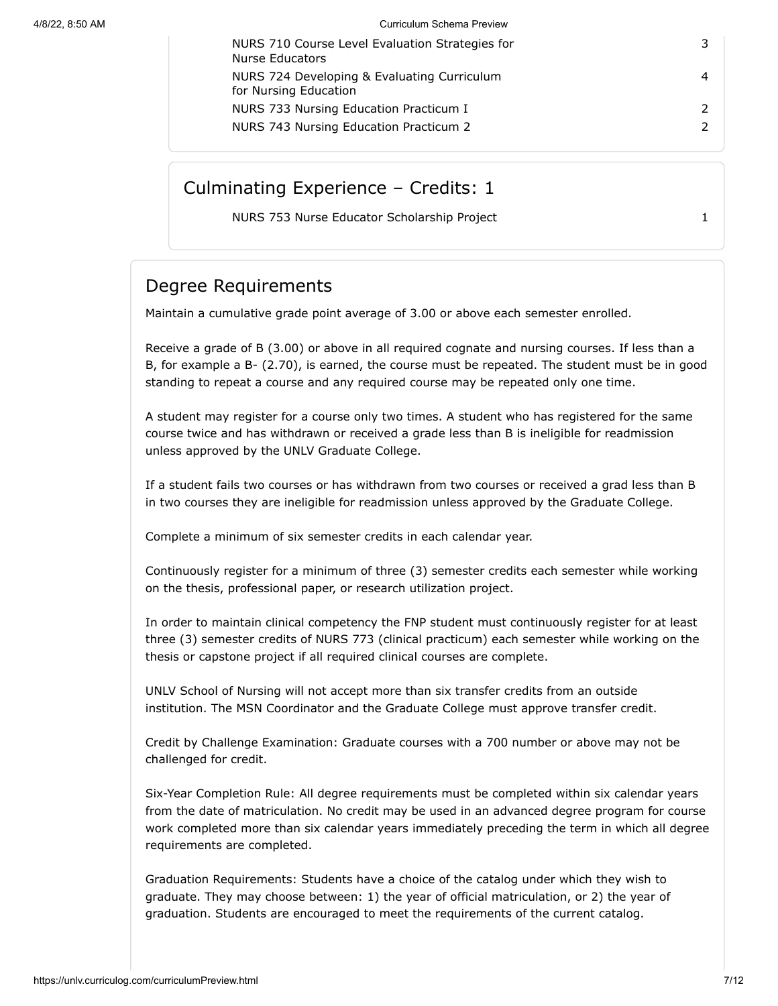4/8/22, 8:50 AM Curriculum Schema Preview

| NURS 710 Course Level Evaluation Strategies for<br>Nurse Educators   | 3             |
|----------------------------------------------------------------------|---------------|
| NURS 724 Developing & Evaluating Curriculum<br>for Nursing Education | 4             |
| NURS 733 Nursing Education Practicum I                               | $\mathcal{P}$ |
| NURS 743 Nursing Education Practicum 2                               | $\mathcal{P}$ |
|                                                                      |               |

#### Culminating Experience – Credits: 1

NURS 753 Nurse Educator Scholarship Project 1

## Degree Requirements

Maintain a cumulative grade point average of 3.00 or above each semester enrolled.

Receive a grade of B (3.00) or above in all required cognate and nursing courses. If less than a B, for example a B- (2.70), is earned, the course must be repeated. The student must be in good standing to repeat a course and any required course may be repeated only one time.

A student may register for a course only two times. A student who has registered for the same course twice and has withdrawn or received a grade less than B is ineligible for readmission unless approved by the UNLV Graduate College.

If a student fails two courses or has withdrawn from two courses or received a grad less than B in two courses they are ineligible for readmission unless approved by the Graduate College.

Complete a minimum of six semester credits in each calendar year.

Continuously register for a minimum of three (3) semester credits each semester while working on the thesis, professional paper, or research utilization project.

In order to maintain clinical competency the FNP student must continuously register for at least three (3) semester credits of NURS 773 (clinical practicum) each semester while working on the thesis or capstone project if all required clinical courses are complete.

UNLV School of Nursing will not accept more than six transfer credits from an outside institution. The MSN Coordinator and the Graduate College must approve transfer credit.

Credit by Challenge Examination: Graduate courses with a 700 number or above may not be challenged for credit.

Six-Year Completion Rule: All degree requirements must be completed within six calendar years from the date of matriculation. No credit may be used in an advanced degree program for course work completed more than six calendar years immediately preceding the term in which all degree requirements are completed.

Graduation Requirements: Students have a choice of the catalog under which they wish to graduate. They may choose between: 1) the year of official matriculation, or 2) the year of graduation. Students are encouraged to meet the requirements of the current catalog.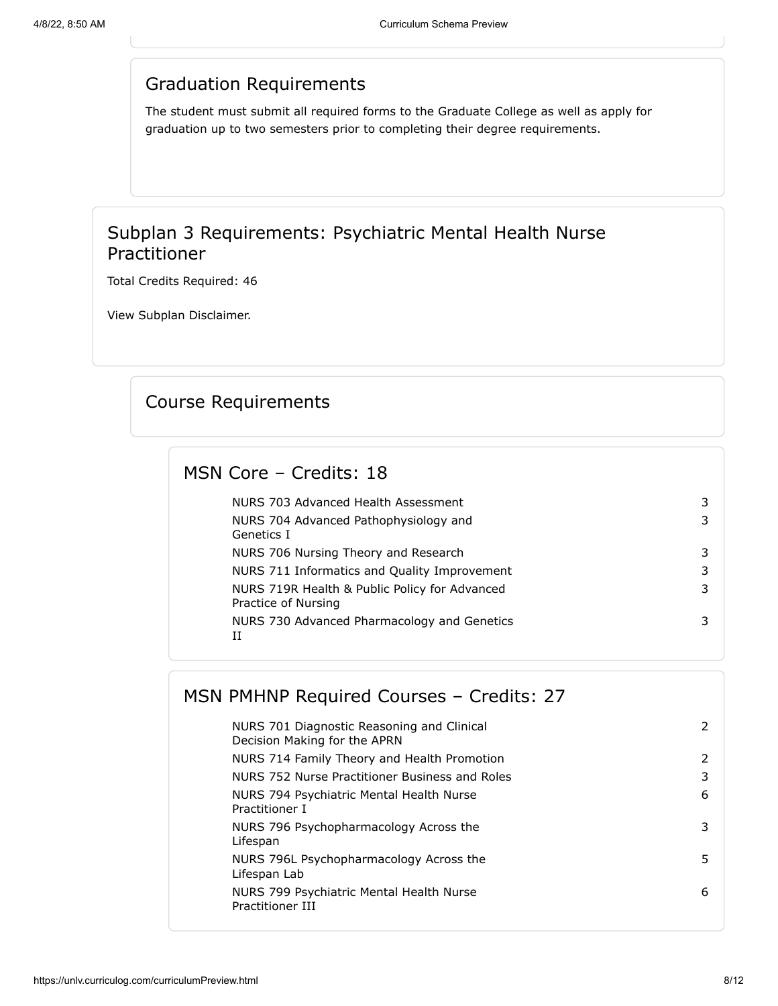#### Graduation Requirements

The student must submit all required forms to the Graduate College as well as apply for graduation up to two semesters prior to completing their degree requirements.

### Subplan 3 Requirements: Psychiatric Mental Health Nurse Practitioner

Total Credits Required: 46

View Subplan Disclaimer.

### Course Requirements

### MSN Core – Credits: 18

| NURS 703 Advanced Health Assessment                                  |  |
|----------------------------------------------------------------------|--|
| NURS 704 Advanced Pathophysiology and<br>Genetics I                  |  |
| NURS 706 Nursing Theory and Research                                 |  |
| NURS 711 Informatics and Quality Improvement                         |  |
| NURS 719R Health & Public Policy for Advanced<br>Practice of Nursing |  |
| NURS 730 Advanced Pharmacology and Genetics<br>H                     |  |

# MSN PMHNP Required Courses – Credits: 27

| NURS 701 Diagnostic Reasoning and Clinical<br>Decision Making for the APRN | 2  |
|----------------------------------------------------------------------------|----|
| NURS 714 Family Theory and Health Promotion                                | 2  |
| NURS 752 Nurse Practitioner Business and Roles                             | 3  |
| NURS 794 Psychiatric Mental Health Nurse<br>Practitioner I                 | 6  |
| NURS 796 Psychopharmacology Across the<br>Lifespan                         | 3  |
| NURS 796L Psychopharmacology Across the<br>Lifespan Lab                    | 5. |
| NURS 799 Psychiatric Mental Health Nurse<br>Practitioner III               | 6  |
|                                                                            |    |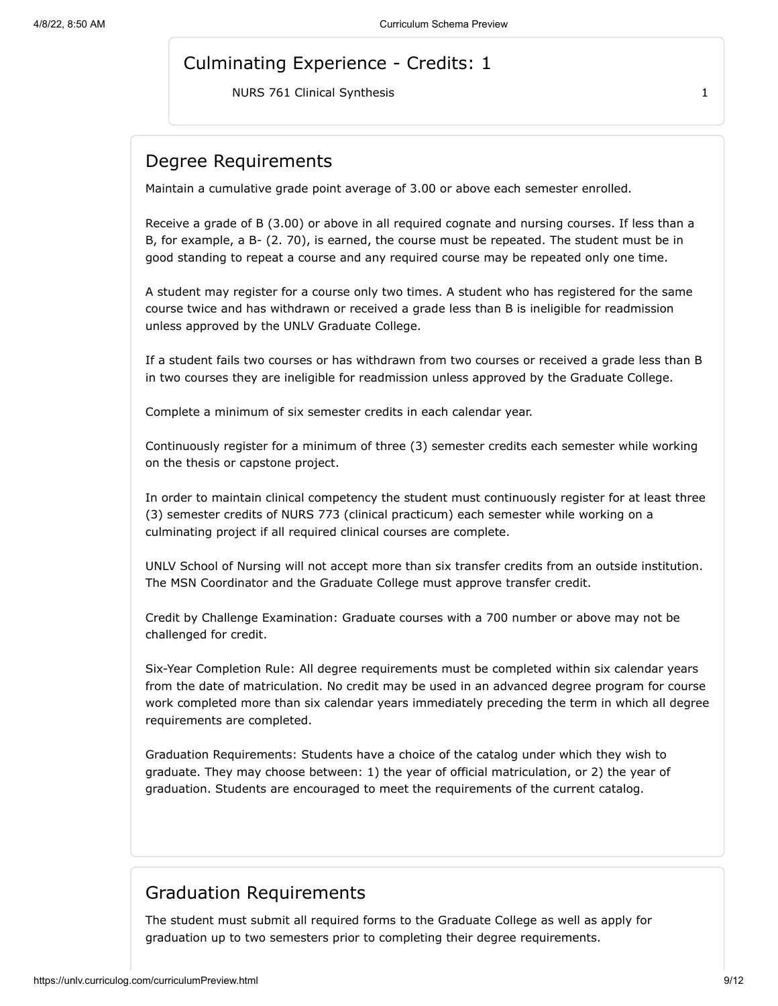#### Culminating Experience - Credits: 1

NURS 761 Clinical Synthesis 1

#### Degree Requirements

Maintain a cumulative grade point average of 3.00 or above each semester enrolled.

Receive a grade of B (3.00) or above in all required cognate and nursing courses. If less than a B, for example, a B- (2. 70), is earned, the course must be repeated. The student must be in good standing to repeat a course and any required course may be repeated only one time.

A student may register for a course only two times. A student who has registered for the same course twice and has withdrawn or received a grade less than B is ineligible for readmission unless approved by the UNLV Graduate College.

If a student fails two courses or has withdrawn from two courses or received a grade less than B in two courses they are ineligible for readmission unless approved by the Graduate College.

Complete a minimum of six semester credits in each calendar year.

Continuously register for a minimum of three (3) semester credits each semester while working on the thesis or capstone project.

In order to maintain clinical competency the student must continuously register for at least three (3) semester credits of NURS 773 (clinical practicum) each semester while working on a culminating project if all required clinical courses are complete.

UNLV School of Nursing will not accept more than six transfer credits from an outside institution. The MSN Coordinator and the Graduate College must approve transfer credit.

Credit by Challenge Examination: Graduate courses with a 700 number or above may not be challenged for credit.

Six-Year Completion Rule: All degree requirements must be completed within six calendar years from the date of matriculation. No credit may be used in an advanced degree program for course work completed more than six calendar years immediately preceding the term in which all degree requirements are completed.

Graduation Requirements: Students have a choice of the catalog under which they wish to graduate. They may choose between: 1) the year of official matriculation, or 2) the year of graduation. Students are encouraged to meet the requirements of the current catalog.

### Graduation Requirements

The student must submit all required forms to the Graduate College as well as apply for graduation up to two semesters prior to completing their degree requirements.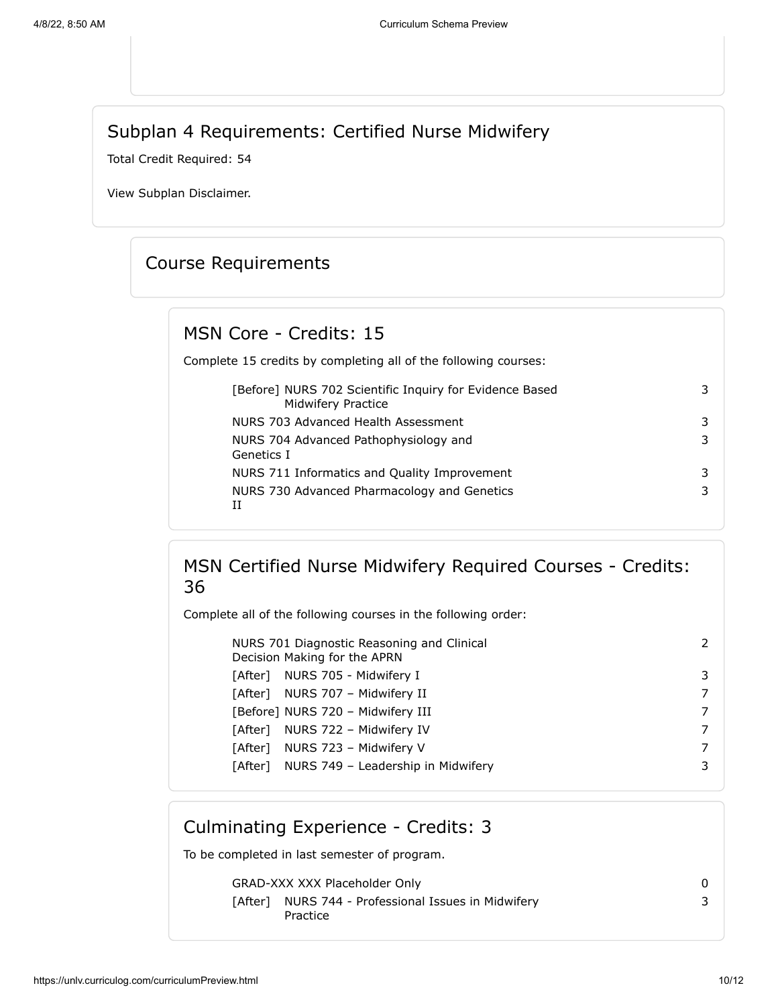### Subplan 4 Requirements: Certified Nurse Midwifery

Total Credit Required: 54

View Subplan Disclaimer.

### Course Requirements

#### MSN Core - Credits: 15

Complete 15 credits by completing all of the following courses:

| [Before] NURS 702 Scientific Inquiry for Evidence Based<br>Midwifery Practice | 3 |
|-------------------------------------------------------------------------------|---|
| NURS 703 Advanced Health Assessment                                           | 3 |
| NURS 704 Advanced Pathophysiology and<br>Genetics I                           | 3 |
| NURS 711 Informatics and Quality Improvement                                  | 3 |
| NURS 730 Advanced Pharmacology and Genetics<br>TΤ                             | 3 |

### MSN Certified Nurse Midwifery Required Courses - Credits: 36

Complete all of the following courses in the following order:

| NURS 701 Diagnostic Reasoning and Clinical<br>Decision Making for the APRN | 2. |
|----------------------------------------------------------------------------|----|
| [After] NURS 705 - Midwifery I                                             | 3  |
| [After] NURS 707 - Midwifery II                                            |    |
| [Before] NURS 720 - Midwifery III                                          | 7  |
| [After] NURS 722 - Midwifery IV                                            | 7  |
| [After] NURS 723 - Midwifery V                                             |    |
| [After] NURS 749 - Leadership in Midwifery                                 | 3  |
|                                                                            |    |

### Culminating Experience - Credits: 3

To be completed in last semester of program.

GRAD-XXX XXX Placeholder Only 0

|  | [After] NURS 744 - Professional Issues in Midwifery<br>Practice |
|--|-----------------------------------------------------------------|
|--|-----------------------------------------------------------------|

3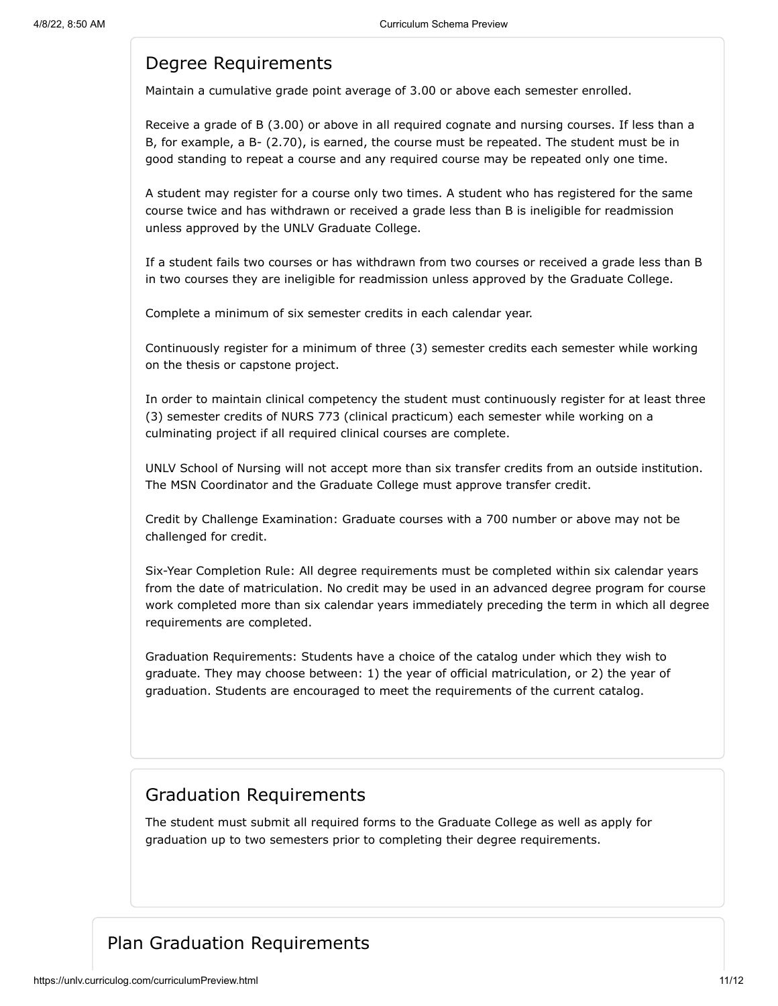#### Degree Requirements

Maintain a cumulative grade point average of 3.00 or above each semester enrolled.

Receive a grade of B (3.00) or above in all required cognate and nursing courses. If less than a B, for example, a B- (2.70), is earned, the course must be repeated. The student must be in good standing to repeat a course and any required course may be repeated only one time.

A student may register for a course only two times. A student who has registered for the same course twice and has withdrawn or received a grade less than B is ineligible for readmission unless approved by the UNLV Graduate College.

If a student fails two courses or has withdrawn from two courses or received a grade less than B in two courses they are ineligible for readmission unless approved by the Graduate College.

Complete a minimum of six semester credits in each calendar year.

Continuously register for a minimum of three (3) semester credits each semester while working on the thesis or capstone project.

In order to maintain clinical competency the student must continuously register for at least three (3) semester credits of NURS 773 (clinical practicum) each semester while working on a culminating project if all required clinical courses are complete.

UNLV School of Nursing will not accept more than six transfer credits from an outside institution. The MSN Coordinator and the Graduate College must approve transfer credit.

Credit by Challenge Examination: Graduate courses with a 700 number or above may not be challenged for credit.

Six-Year Completion Rule: All degree requirements must be completed within six calendar years from the date of matriculation. No credit may be used in an advanced degree program for course work completed more than six calendar years immediately preceding the term in which all degree requirements are completed.

Graduation Requirements: Students have a choice of the catalog under which they wish to graduate. They may choose between: 1) the year of official matriculation, or 2) the year of graduation. Students are encouraged to meet the requirements of the current catalog.

### Graduation Requirements

The student must submit all required forms to the Graduate College as well as apply for graduation up to two semesters prior to completing their degree requirements.

### Plan Graduation Requirements